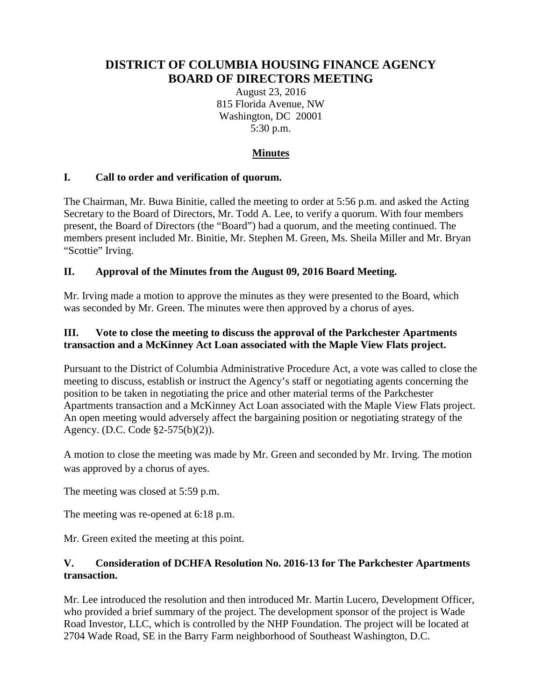# **DISTRICT OF COLUMBIA HOUSING FINANCE AGENCY BOARD OF DIRECTORS MEETING**

August 23, 2016 815 Florida Avenue, NW Washington, DC 20001 5:30 p.m.

# **Minutes**

# **I. Call to order and verification of quorum.**

The Chairman, Mr. Buwa Binitie, called the meeting to order at 5:56 p.m. and asked the Acting Secretary to the Board of Directors, Mr. Todd A. Lee, to verify a quorum. With four members present, the Board of Directors (the "Board") had a quorum, and the meeting continued. The members present included Mr. Binitie, Mr. Stephen M. Green, Ms. Sheila Miller and Mr. Bryan "Scottie" Irving.

#### **II. Approval of the Minutes from the August 09, 2016 Board Meeting.**

Mr. Irving made a motion to approve the minutes as they were presented to the Board, which was seconded by Mr. Green. The minutes were then approved by a chorus of ayes.

#### **III. Vote to close the meeting to discuss the approval of the Parkchester Apartments transaction and a McKinney Act Loan associated with the Maple View Flats project.**

Pursuant to the District of Columbia Administrative Procedure Act, a vote was called to close the meeting to discuss, establish or instruct the Agency's staff or negotiating agents concerning the position to be taken in negotiating the price and other material terms of the Parkchester Apartments transaction and a McKinney Act Loan associated with the Maple View Flats project. An open meeting would adversely affect the bargaining position or negotiating strategy of the Agency. (D.C. Code §2-575(b)(2)).

A motion to close the meeting was made by Mr. Green and seconded by Mr. Irving. The motion was approved by a chorus of ayes.

The meeting was closed at 5:59 p.m.

The meeting was re-opened at 6:18 p.m.

Mr. Green exited the meeting at this point.

#### **V. Consideration of DCHFA Resolution No. 2016-13 for The Parkchester Apartments transaction.**

Mr. Lee introduced the resolution and then introduced Mr. Martin Lucero, Development Officer, who provided a brief summary of the project. The development sponsor of the project is Wade Road Investor, LLC, which is controlled by the NHP Foundation. The project will be located at 2704 Wade Road, SE in the Barry Farm neighborhood of Southeast Washington, D.C.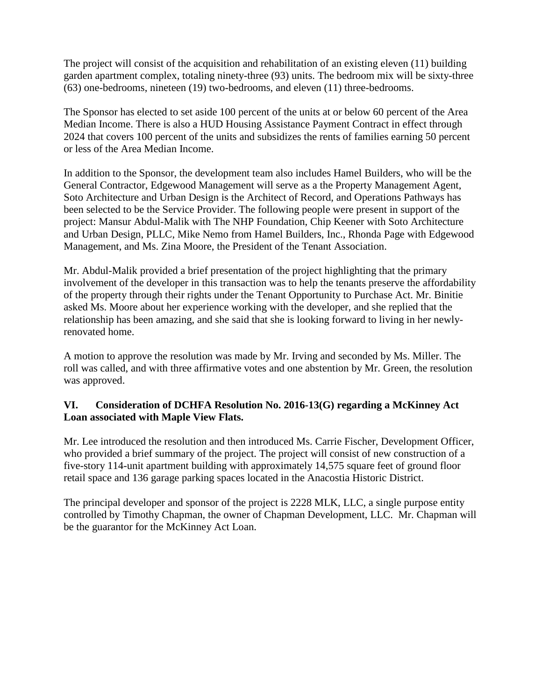The project will consist of the acquisition and rehabilitation of an existing eleven (11) building garden apartment complex, totaling ninety-three (93) units. The bedroom mix will be sixty-three (63) one-bedrooms, nineteen (19) two-bedrooms, and eleven (11) three-bedrooms.

The Sponsor has elected to set aside 100 percent of the units at or below 60 percent of the Area Median Income. There is also a HUD Housing Assistance Payment Contract in effect through 2024 that covers 100 percent of the units and subsidizes the rents of families earning 50 percent or less of the Area Median Income.

In addition to the Sponsor, the development team also includes Hamel Builders, who will be the General Contractor, Edgewood Management will serve as a the Property Management Agent, Soto Architecture and Urban Design is the Architect of Record, and Operations Pathways has been selected to be the Service Provider. The following people were present in support of the project: Mansur Abdul-Malik with The NHP Foundation, Chip Keener with Soto Architecture and Urban Design, PLLC, Mike Nemo from Hamel Builders, Inc., Rhonda Page with Edgewood Management, and Ms. Zina Moore, the President of the Tenant Association.

Mr. Abdul-Malik provided a brief presentation of the project highlighting that the primary involvement of the developer in this transaction was to help the tenants preserve the affordability of the property through their rights under the Tenant Opportunity to Purchase Act. Mr. Binitie asked Ms. Moore about her experience working with the developer, and she replied that the relationship has been amazing, and she said that she is looking forward to living in her newlyrenovated home.

A motion to approve the resolution was made by Mr. Irving and seconded by Ms. Miller. The roll was called, and with three affirmative votes and one abstention by Mr. Green, the resolution was approved.

# **VI. Consideration of DCHFA Resolution No. 2016-13(G) regarding a McKinney Act Loan associated with Maple View Flats.**

Mr. Lee introduced the resolution and then introduced Ms. Carrie Fischer, Development Officer, who provided a brief summary of the project. The project will consist of new construction of a five-story 114-unit apartment building with approximately 14,575 square feet of ground floor retail space and 136 garage parking spaces located in the Anacostia Historic District.

The principal developer and sponsor of the project is 2228 MLK, LLC, a single purpose entity controlled by Timothy Chapman, the owner of Chapman Development, LLC. Mr. Chapman will be the guarantor for the McKinney Act Loan.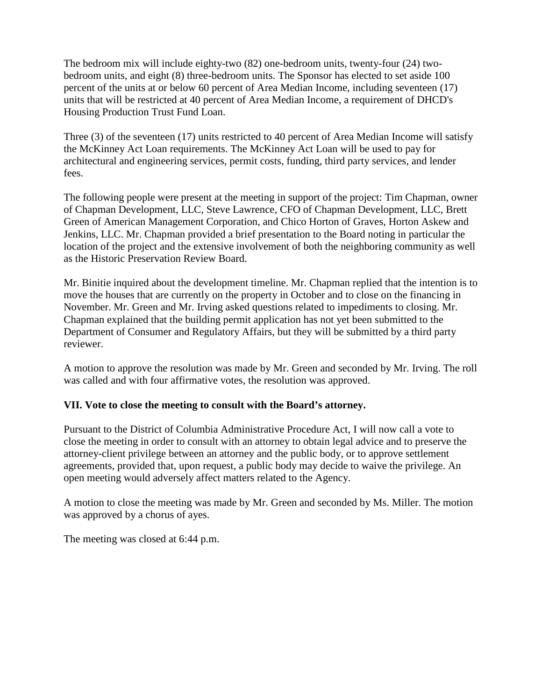The bedroom mix will include eighty-two (82) one-bedroom units, twenty-four (24) twobedroom units, and eight (8) three-bedroom units. The Sponsor has elected to set aside 100 percent of the units at or below 60 percent of Area Median Income, including seventeen (17) units that will be restricted at 40 percent of Area Median Income, a requirement of DHCD's Housing Production Trust Fund Loan.

Three (3) of the seventeen (17) units restricted to 40 percent of Area Median Income will satisfy the McKinney Act Loan requirements. The McKinney Act Loan will be used to pay for architectural and engineering services, permit costs, funding, third party services, and lender fees.

The following people were present at the meeting in support of the project: Tim Chapman, owner of Chapman Development, LLC, Steve Lawrence, CFO of Chapman Development, LLC, Brett Green of American Management Corporation, and Chico Horton of Graves, Horton Askew and Jenkins, LLC. Mr. Chapman provided a brief presentation to the Board noting in particular the location of the project and the extensive involvement of both the neighboring community as well as the Historic Preservation Review Board.

Mr. Binitie inquired about the development timeline. Mr. Chapman replied that the intention is to move the houses that are currently on the property in October and to close on the financing in November. Mr. Green and Mr. Irving asked questions related to impediments to closing. Mr. Chapman explained that the building permit application has not yet been submitted to the Department of Consumer and Regulatory Affairs, but they will be submitted by a third party reviewer.

A motion to approve the resolution was made by Mr. Green and seconded by Mr. Irving. The roll was called and with four affirmative votes, the resolution was approved.

# **VII. Vote to close the meeting to consult with the Board's attorney.**

Pursuant to the District of Columbia Administrative Procedure Act, I will now call a vote to close the meeting in order to consult with an attorney to obtain legal advice and to preserve the attorney-client privilege between an attorney and the public body, or to approve settlement agreements, provided that, upon request, a public body may decide to waive the privilege. An open meeting would adversely affect matters related to the Agency.

A motion to close the meeting was made by Mr. Green and seconded by Ms. Miller. The motion was approved by a chorus of ayes.

The meeting was closed at 6:44 p.m.